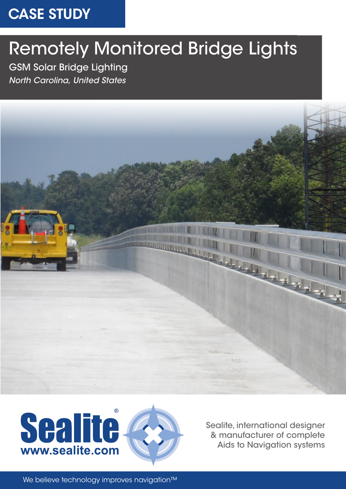## CASE STUDY

# Remotely Monitored Bridge Lights

GSM Solar Bridge Lighting *North Carolina*, United States





Sealite, international designer & manufacturer of complete Aids to Navigation systems

We believe technology improves navigation<sup>™</sup>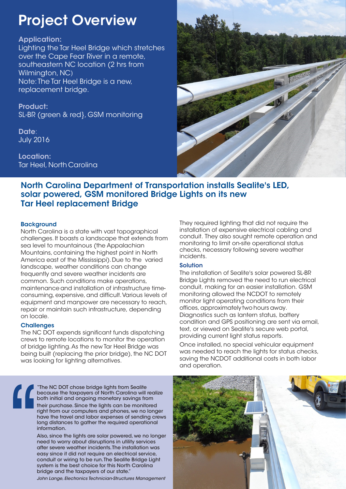## Project Overview

#### Application:

Lighting the Tar Heel Bridge which stretches over the Cape Fear River in a remote, southeastern NC location (2 hrs from Wilmington, NC) Note: The Tar Heel Bridge is a new, replacement bridge.

Product: SL-BR (green & red}, GSM monitoring

Date: July 2016

Location: Tar Heel, North Carolina



### North Carolina Department of Transportation installs Sealite's LED, solar powered, GSM monitored Bridge Lights on its new Tar Heel replacement Bridge

#### **Background**

North Carolina is a state with vast topographical challenges. It boasts a landscape that extends from sea level to mountainous (the Appalachian Mountains, containing the highest point in North America east of the Mississippi). Due to the varied landscape, weather conditions can change frequently and severe weather incidents are common. Such conditions make operations, maintenance and installation of infrastructure timeconsuming, expensive, and difficult. Various levels of equipment and manpower are necessary to reach, repair or maintain such infrastructure, depending on locale.

#### **Challenges**

The NC DOT expends significant funds dispatching crews to remote locations to monitor the operation of bridge lighting. As the new Tar Heel Bridge was being built (replacing the prior bridge), the NC DOT was looking for lighting alternatives.

They required lighting that did not require the installation of expensive electrical cabling and conduit. They also sought remote operation and monitoring to limit on-site operational status checks, necessary following severe weather incidents.

#### **Solution**

The installation of Sealite's solar powered SL-BR Bridge Lights removed the need to run electrical conduit, making for an easier installation. GSM monitoring allowed the NCDOT to remotely monitor light operating conditions from their offices, approximately two hours away. Diagnostics such as lantern status, battery condition and GPS positioning are sent via email, text, or viewed on Sealite's secure web portal, providing current light status reports.

Once installed, no special vehicular equipment was needed to reach the lights for status checks, saving the NCDOT additional costs in both labor and operation.

"The NC DOT chose bridge lights from Sealite because the taxpayers of North Carolina will realize both initial and ongoing monetary savings from their purchase. Since the lights can be monitored right from our computers and phones, we no longer have the travel and labor expenses of sending crews long distances to gather the required operational information.

Also, since the lights are solar powered, we no longer need to worry about disruptions in utility services after severe weather incidents. The installation was easy since it did not require an electrical service, conduit or wiring to be run. The Sealite Bridge Light system is the best choice for this North Carolina bridge and the taxpayers of our state."

*John Lange, Electronics Technician-Structures Management*